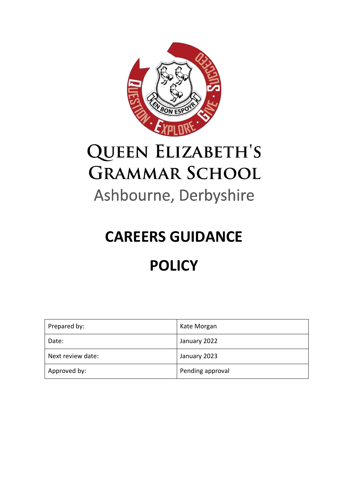

# **QUEEN ELIZABETH'S GRAMMAR SCHOOL** Ashbourne, Derbyshire

# **CAREERS GUIDANCE POLICY**

| Prepared by:      | Kate Morgan      |
|-------------------|------------------|
| Date:             | January 2022     |
| Next review date: | January 2023     |
| Approved by:      | Pending approval |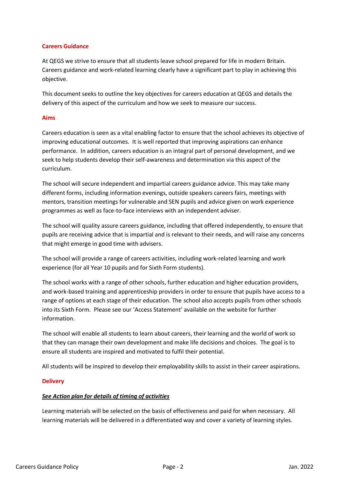#### **Careers Guidance**

At QEGS we strive to ensure that all students leave school prepared for life in modern Britain. Careers guidance and work-related learning clearly have a significant part to play in achieving this objective.

This document seeks to outline the key objectives for careers education at QEGS and details the delivery of this aspect of the curriculum and how we seek to measure our success.

#### **Aims**

Careers education is seen as a vital enabling factor to ensure that the school achieves its objective of improving educational outcomes. It is well reported that improving aspirations can enhance performance. In addition, careers education is an integral part of personal development, and we seek to help students develop their self-awareness and determination via this aspect of the curriculum.

The school will secure independent and impartial careers guidance advice. This may take many different forms, including information evenings, outside speakers careers fairs, meetings with mentors, transition meetings for vulnerable and SEN pupils and advice given on work experience programmes as well as face-to-face interviews with an independent adviser.

The school will quality assure careers guidance, including that offered independently, to ensure that pupils are receiving advice that is impartial and is relevant to their needs, and will raise any concerns that might emerge in good time with advisers.

The school will provide a range of careers activities, including work-related learning and work experience (for all Year 10 pupils and for Sixth Form students).

The school works with a range of other schools, further education and higher education providers, and work-based training and apprenticeship providers in order to ensure that pupils have access to a range of options at each stage of their education. The school also accepts pupils from other schools into its Sixth Form. Please see our 'Access Statement' available on the website for further information.

The school will enable all students to learn about careers, their learning and the world of work so that they can manage their own development and make life decisions and choices. The goal is to ensure all students are inspired and motivated to fulfil their potential.

All students will be inspired to develop their employability skills to assist in their career aspirations.

#### **Delivery**

#### *See Action plan for details of timing of activities*

Learning materials will be selected on the basis of effectiveness and paid for when necessary. All learning materials will be delivered in a differentiated way and cover a variety of learning styles.